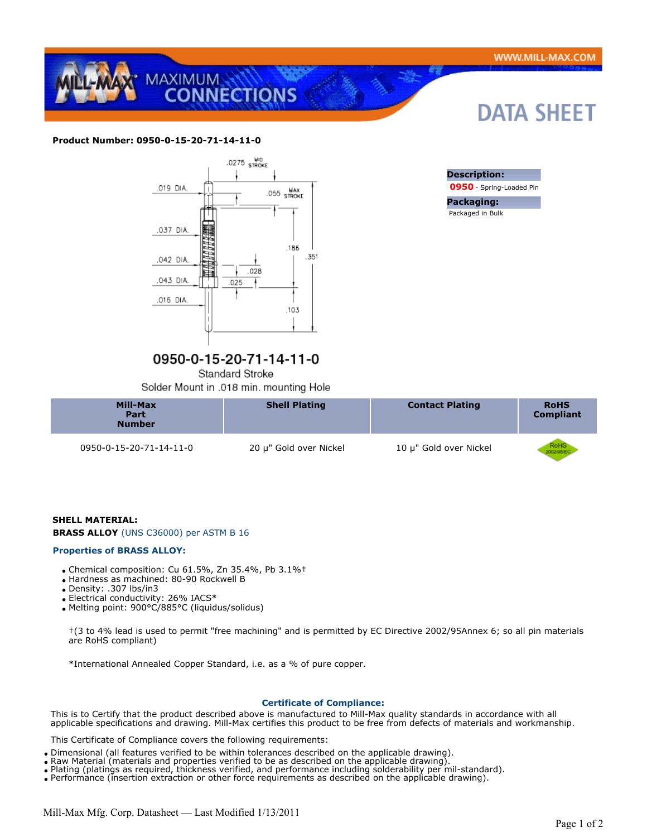**DATA SHEET** 



## **Product Number: 0950-0-15-20-71-14-11-0**



# 0950-0-15-20-71-14-11-0

Standard Stroke

Solder Mount in .018 min. mounting Hole

| Mill-Max<br>Part<br><b>Number</b> | <b>Shell Plating</b>   | <b>Contact Plating</b> | <b>RoHS</b><br><b>Compliant</b> |
|-----------------------------------|------------------------|------------------------|---------------------------------|
| 0950-0-15-20-71-14-11-0           | 20 µ" Gold over Nickel | 10 µ" Gold over Nickel | RoHS<br>1002/16/E               |

## **SHELL MATERIAL:**

**BRASS ALLOY** (UNS C36000) per ASTM B 16

#### **Properties of BRASS ALLOY:**

- Chemical composition: Cu 61.5%, Zn 35.4%, Pb 3.1%†
- Hardness as machined: 80-90 Rockwell B
- Density: .307 lbs/in3
- Electrical conductivity: 26% IACS\*
- Melting point: 900°C/885°C (liquidus/solidus)

†(3 to 4% lead is used to permit "free machining" and is permitted by EC Directive 2002/95Annex 6; so all pin materials are RoHS compliant)

\*International Annealed Copper Standard, i.e. as a % of pure copper.

#### **Certificate of Compliance:**

This is to Certify that the product described above is manufactured to Mill-Max quality standards in accordance with all applicable specifications and drawing. Mill-Max certifies this product to be free from defects of materials and workmanship.

This Certificate of Compliance covers the following requirements:

- Dimensional (all features verified to be within tolerances described on the applicable drawing).
- Raw Material (materials and properties verified to be as described on the applicable drawing).
- Plating (platings as required, thickness verified, and performance including solderability per mil-standard).
- Performance (insertion extraction or other force requirements as described on the applicable drawing).